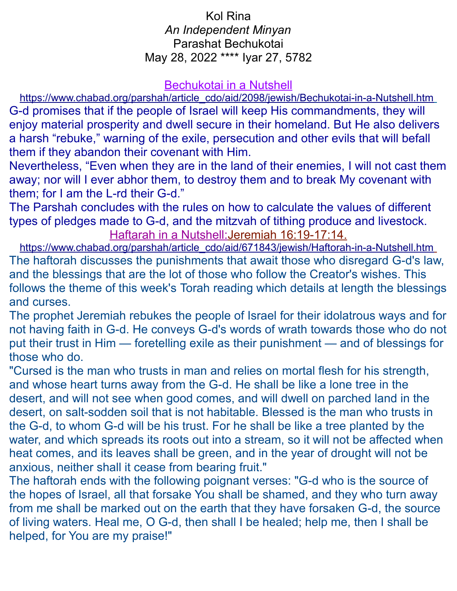## Kol Rina *An Independent Minyan* Parashat Bechukotai May 28, 2022 \*\*\*\* Iyar 27, 5782

#### Bechukotai in a Nutshell

https://www.chabad.org/parshah/article\_cdo/aid/2098/jewish/Bechukotai-in-a-Nutshell.htm G-d promises that if the people of Israel will keep His commandments, they will enjoy material prosperity and dwell secure in their homeland. But He also delivers a harsh "rebuke," warning of the exile, persecution and other evils that will befall them if they abandon their covenant with Him.

Nevertheless, "Even when they are in the land of their enemies, I will not cast them away; nor will I ever abhor them, to destroy them and to break My covenant with them; for I am the L-rd their G-d."

The Parshah concludes with the rules on how to calculate the values of different types of pledges made to G-d, and the mitzvah of tithing produce and livestock. Haftarah in a Nutshell:Jeremiah 16:19-17:14.

https://www.chabad.org/parshah/article\_cdo/aid/671843/jewish/Haftorah-in-a-Nutshell.htm The haftorah discusses the punishments that await those who disregard G-d's law, and the blessings that are the lot of those who follow the Creator's wishes. This follows the theme of this week's Torah reading which details at length the blessings and curses.

The prophet Jeremiah rebukes the people of Israel for their idolatrous ways and for not having faith in G-d. He conveys G-d's words of wrath towards those who do not put their trust in Him — foretelling exile as their punishment — and of blessings for those who do.

"Cursed is the man who trusts in man and relies on mortal flesh for his strength, and whose heart turns away from the G-d. He shall be like a lone tree in the desert, and will not see when good comes, and will dwell on parched land in the desert, on salt-sodden soil that is not habitable. Blessed is the man who trusts in the G-d, to whom G-d will be his trust. For he shall be like a tree planted by the water, and which spreads its roots out into a stream, so it will not be affected when heat comes, and its leaves shall be green, and in the year of drought will not be anxious, neither shall it cease from bearing fruit."

The haftorah ends with the following poignant verses: "G-d who is the source of the hopes of Israel, all that forsake You shall be shamed, and they who turn away from me shall be marked out on the earth that they have forsaken G-d, the source of living waters. Heal me, O G-d, then shall I be healed; help me, then I shall be helped, for You are my praise!"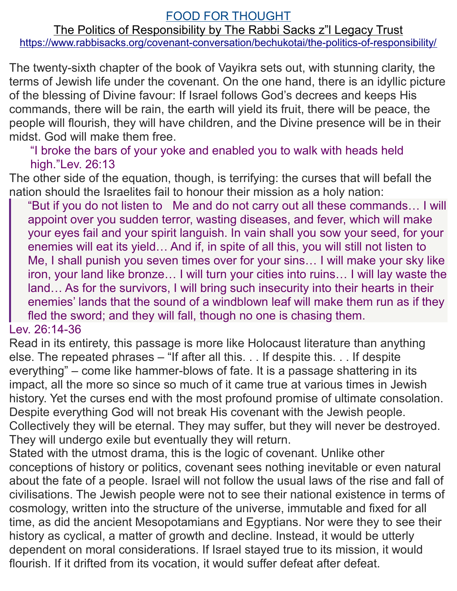### FOOD FOR THOUGHT

#### The Politics of Responsibility by The Rabbi Sacks z"l Legacy Trust <https://www.rabbisacks.org/covenant-conversation/bechukotai/the-politics-of-responsibility/>

The twenty-sixth chapter of the book of Vayikra sets out, with stunning clarity, the terms of Jewish life under the covenant. On the one hand, there is an idyllic picture of the blessing of Divine favour: If Israel follows God's decrees and keeps His commands, there will be rain, the earth will yield its fruit, there will be peace, the people will flourish, they will have children, and the Divine presence will be in their midst. God will make them free.

"I broke the bars of your yoke and enabled you to walk with heads held high.["Lev. 26:13](https://www.sefaria.org/Leviticus.26.13?lang=he-en&utm_source=rabbisacks.org&utm_medium=sefaria_linker)

The other side of the equation, though, is terrifying: the curses that will befall the nation should the Israelites fail to honour their mission as a holy nation:

"But if you do not listen to Me and do not carry out all these commands… I will appoint over you sudden terror, wasting diseases, and fever, which will make your eyes fail and your spirit languish. In vain shall you sow your seed, for your enemies will eat its yield… And if, in spite of all this, you will still not listen to Me, I shall punish you seven times over for your sins… I will make your sky like iron, your land like bronze… I will turn your cities into ruins… I will lay waste the land… As for the survivors, I will bring such insecurity into their hearts in their enemies' lands that the sound of a windblown leaf will make them run as if they fled the sword; and they will fall, though no one is chasing them.

### [Lev. 26:14-36](https://www.sefaria.org/Leviticus.26.14-36?lang=he-en&utm_source=rabbisacks.org&utm_medium=sefaria_linker)

Read in its entirety, this passage is more like Holocaust literature than anything else. The repeated phrases – "If after all this. . . If despite this. . . If despite everything" – come like hammer-blows of fate. It is a passage shattering in its impact, all the more so since so much of it came true at various times in Jewish history. Yet the curses end with the most profound promise of ultimate consolation. Despite everything God will not break His covenant with the Jewish people. Collectively they will be eternal. They may suffer, but they will never be destroyed. They will undergo exile but eventually they will return.

Stated with the utmost drama, this is the logic of covenant. Unlike other conceptions of history or politics, covenant sees nothing inevitable or even natural about the fate of a people. Israel will not follow the usual laws of the rise and fall of civilisations. The Jewish people were not to see their national existence in terms of cosmology, written into the structure of the universe, immutable and fixed for all time, as did the ancient Mesopotamians and Egyptians. Nor were they to see their history as cyclical, a matter of growth and decline. Instead, it would be utterly dependent on moral considerations. If Israel stayed true to its mission, it would flourish. If it drifted from its vocation, it would suffer defeat after defeat.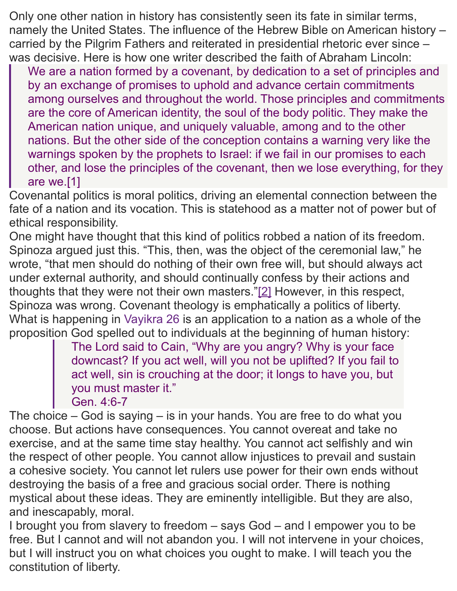Only one other nation in history has consistently seen its fate in similar terms, namely the United States. The influence of the Hebrew Bible on American history – carried by the Pilgrim Fathers and reiterated in presidential rhetoric ever since – was decisive. Here is how one writer described the faith of Abraham Lincoln:

We are a nation formed by a covenant, by dedication to a set of principles and by an exchange of promises to uphold and advance certain commitments among ourselves and throughout the world. Those principles and commitments are the core of American identity, the soul of the body politic. They make the American nation unique, and uniquely valuable, among and to the other nations. But the other side of the conception contains a warning very like the warnings spoken by the prophets to Israel: if we fail in our promises to each other, and lose the principles of the covenant, then we lose everything, for they are we[.\[1\]](https://www.rabbisacks.org/covenant-conversation/bechukotai/the-politics-of-responsibility/#_ftn1)

Covenantal politics is moral politics, driving an elemental connection between the fate of a nation and its vocation. This is statehood as a matter not of power but of ethical responsibility.

One might have thought that this kind of politics robbed a nation of its freedom. Spinoza argued just this. "This, then, was the object of the ceremonial law," he wrote, "that men should do nothing of their own free will, but should always act under external authority, and should continually confess by their actions and thoughts that they were not their own masters.["\[2\]](https://www.rabbisacks.org/covenant-conversation/bechukotai/the-politics-of-responsibility/#_ftn2) However, in this respect, Spinoza was wrong. Covenant theology is emphatically a politics of liberty. What is happening in [Vayikra 26](https://www.sefaria.org/Leviticus.26?lang=he-en&utm_source=rabbisacks.org&utm_medium=sefaria_linker) is an application to a nation as a whole of the proposition God spelled out to individuals at the beginning of human history:

The Lord said to Cain, "Why are you angry? Why is your face downcast? If you act well, will you not be uplifted? If you fail to act well, sin is crouching at the door; it longs to have you, but you must master it."

### [Gen. 4:6-7](https://www.sefaria.org/Genesis.4.6-7?lang=he-en&utm_source=rabbisacks.org&utm_medium=sefaria_linker)

The choice – God is saying – is in your hands. You are free to do what you choose. But actions have consequences. You cannot overeat and take no exercise, and at the same time stay healthy. You cannot act selfishly and win the respect of other people. You cannot allow injustices to prevail and sustain a cohesive society. You cannot let rulers use power for their own ends without destroying the basis of a free and gracious social order. There is nothing mystical about these ideas. They are eminently intelligible. But they are also, and inescapably, moral.

I brought you from slavery to freedom – says God – and I empower you to be free. But I cannot and will not abandon you. I will not intervene in your choices, but I will instruct you on what choices you ought to make. I will teach you the constitution of liberty.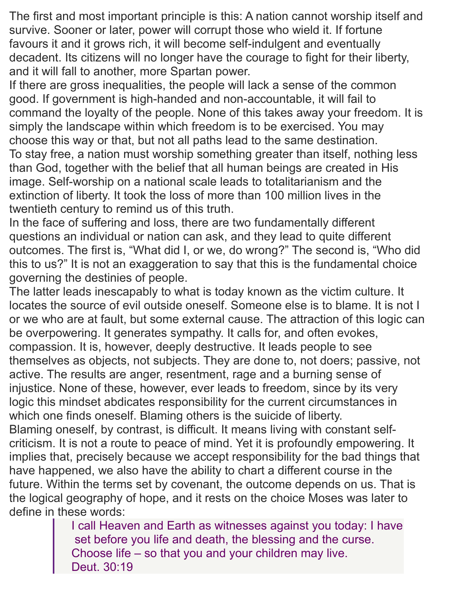The first and most important principle is this: A nation cannot worship itself and survive. Sooner or later, power will corrupt those who wield it. If fortune favours it and it grows rich, it will become self-indulgent and eventually decadent. Its citizens will no longer have the courage to fight for their liberty, and it will fall to another, more Spartan power.

If there are gross inequalities, the people will lack a sense of the common good. If government is high-handed and non-accountable, it will fail to command the loyalty of the people. None of this takes away your freedom. It is simply the landscape within which freedom is to be exercised. You may choose this way or that, but not all paths lead to the same destination. To stay free, a nation must worship something greater than itself, nothing less than God, together with the belief that all human beings are created in His image. Self-worship on a national scale leads to totalitarianism and the extinction of liberty. It took the loss of more than 100 million lives in the twentieth century to remind us of this truth.

In the face of suffering and loss, there are two fundamentally different questions an individual or nation can ask, and they lead to quite different outcomes. The first is, "What did I, or we, do wrong?" The second is, "Who did this to us?" It is not an exaggeration to say that this is the fundamental choice governing the destinies of people.

The latter leads inescapably to what is today known as the victim culture. It locates the source of evil outside oneself. Someone else is to blame. It is not I or we who are at fault, but some external cause. The attraction of this logic can be overpowering. It generates sympathy. It calls for, and often evokes, compassion. It is, however, deeply destructive. It leads people to see themselves as objects, not subjects. They are done to, not doers; passive, not active. The results are anger, resentment, rage and a burning sense of injustice. None of these, however, ever leads to freedom, since by its very logic this mindset abdicates responsibility for the current circumstances in which one finds oneself. Blaming others is the suicide of liberty. Blaming oneself, by contrast, is difficult. It means living with constant selfcriticism. It is not a route to peace of mind. Yet it is profoundly empowering. It implies that, precisely because we accept responsibility for the bad things that have happened, we also have the ability to chart a different course in the future. Within the terms set by covenant, the outcome depends on us. That is the logical geography of hope, and it rests on the choice Moses was later to define in these words:

I call Heaven and Earth as witnesses against you today: I have set before you life and death, the blessing and the curse. Choose life – so that you and your children may live. [Deut. 30:19](https://www.sefaria.org/Deuteronomy.30.19?lang=he-en&utm_source=rabbisacks.org&utm_medium=sefaria_linker)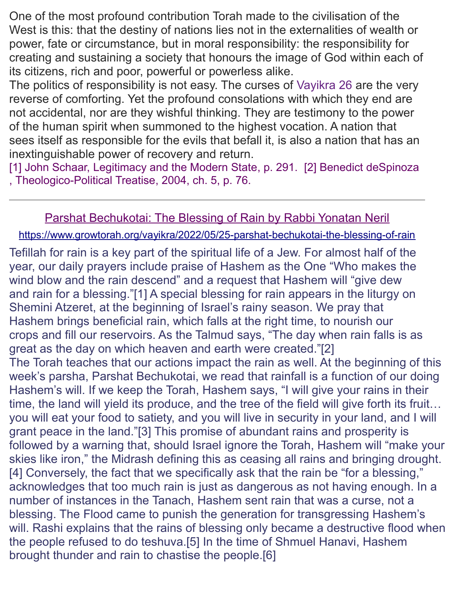One of the most profound contribution Torah made to the civilisation of the West is this: that the destiny of nations lies not in the externalities of wealth or power, fate or circumstance, but in moral responsibility: the responsibility for creating and sustaining a society that honours the image of God within each of its citizens, rich and poor, powerful or powerless alike.

The politics of responsibility is not easy. The curses of [Vayikra 26](https://www.sefaria.org/Leviticus.26?lang=he-en&utm_source=rabbisacks.org&utm_medium=sefaria_linker) are the very reverse of comforting. Yet the profound consolations with which they end are not accidental, nor are they wishful thinking. They are testimony to the power of the human spirit when summoned to the highest vocation. A nation that sees itself as responsible for the evils that befall it, is also a nation that has an inextinguishable power of recovery and return.

[\[1\]](https://www.rabbisacks.org/covenant-conversation/bechukotai/the-politics-of-responsibility/#_ftnref1) John Schaar, Legitimacy and the Modern State, p. 291. [\[2\]](https://www.rabbisacks.org/covenant-conversation/bechukotai/the-politics-of-responsibility/#_ftnref2) Benedict deSpinoza , Theologico-Political Treatise, 2004, ch. 5, p. 76.

### Parshat Bechukotai: The Blessing of Rain by Rabbi Yonatan Neril

<https://www.growtorah.org/vayikra/2022/05/25-parshat-bechukotai-the-blessing-of-rain>

Tefillah for rain is a key part of the spiritual life of a Jew. For almost half of the year, our daily prayers include praise of Hashem as the One "Who makes the wind blow and the rain descend" and a request that Hashem will "give dew and rain for a blessing."[1] A special blessing for rain appears in the liturgy on Shemini Atzeret, at the beginning of Israel's rainy season. We pray that Hashem brings beneficial rain, which falls at the right time, to nourish our crops and fill our reservoirs. As the Talmud says, "The day when rain falls is as great as the day on which heaven and earth were created."[2] The Torah teaches that our actions impact the rain as well. At the beginning of this week's parsha, Parshat Bechukotai, we read that rainfall is a function of our doing Hashem's will. If we keep the Torah, Hashem says, "I will give your rains in their time, the land will yield its produce, and the tree of the field will give forth its fruit… you will eat your food to satiety, and you will live in security in your land, and I will grant peace in the land."[3] This promise of abundant rains and prosperity is followed by a warning that, should Israel ignore the Torah, Hashem will "make your skies like iron," the Midrash defining this as ceasing all rains and bringing drought. [4] Conversely, the fact that we specifically ask that the rain be "for a blessing," acknowledges that too much rain is just as dangerous as not having enough. In a number of instances in the Tanach, Hashem sent rain that was a curse, not a blessing. The Flood came to punish the generation for transgressing Hashem's will. Rashi explains that the rains of blessing only became a destructive flood when the people refused to do teshuva.[5] In the time of Shmuel Hanavi, Hashem brought thunder and rain to chastise the people.[6]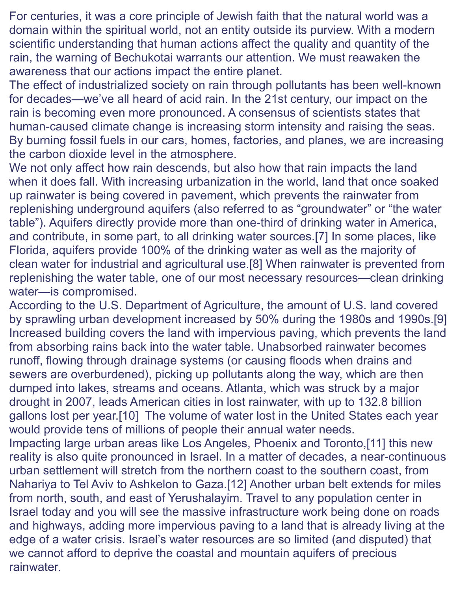For centuries, it was a core principle of Jewish faith that the natural world was a domain within the spiritual world, not an entity outside its purview. With a modern scientific understanding that human actions affect the quality and quantity of the rain, the warning of Bechukotai warrants our attention. We must reawaken the awareness that our actions impact the entire planet.

The effect of industrialized society on rain through pollutants has been well-known for decades—we've all heard of acid rain. In the 21st century, our impact on the rain is becoming even more pronounced. A consensus of scientists states that human-caused climate change is increasing storm intensity and raising the seas. By burning fossil fuels in our cars, homes, factories, and planes, we are increasing the carbon dioxide level in the atmosphere.

We not only affect how rain descends, but also how that rain impacts the land when it does fall. With increasing urbanization in the world, land that once soaked up rainwater is being covered in pavement, which prevents the rainwater from replenishing underground aquifers (also referred to as "groundwater" or "the water table"). Aquifers directly provide more than one-third of drinking water in America, and contribute, in some part, to all drinking water sources.[7] In some places, like Florida, aquifers provide 100% of the drinking water as well as the majority of clean water for industrial and agricultural use.[8] When rainwater is prevented from replenishing the water table, one of our most necessary resources—clean drinking water—is compromised.

According to the U.S. Department of Agriculture, the amount of U.S. land covered by sprawling urban development increased by 50% during the 1980s and 1990s.[9] Increased building covers the land with impervious paving, which prevents the land from absorbing rains back into the water table. Unabsorbed rainwater becomes runoff, flowing through drainage systems (or causing floods when drains and sewers are overburdened), picking up pollutants along the way, which are then dumped into lakes, streams and oceans. Atlanta, which was struck by a major drought in 2007, leads American cities in lost rainwater, with up to 132.8 billion gallons lost per year.[10] The volume of water lost in the United States each year would provide tens of millions of people their annual water needs.

Impacting large urban areas like Los Angeles, Phoenix and Toronto,[11] this new reality is also quite pronounced in Israel. In a matter of decades, a near-continuous urban settlement will stretch from the northern coast to the southern coast, from Nahariya to Tel Aviv to Ashkelon to Gaza.[12] Another urban belt extends for miles from north, south, and east of Yerushalayim. Travel to any population center in Israel today and you will see the massive infrastructure work being done on roads and highways, adding more impervious paving to a land that is already living at the edge of a water crisis. Israel's water resources are so limited (and disputed) that we cannot afford to deprive the coastal and mountain aquifers of precious rainwater.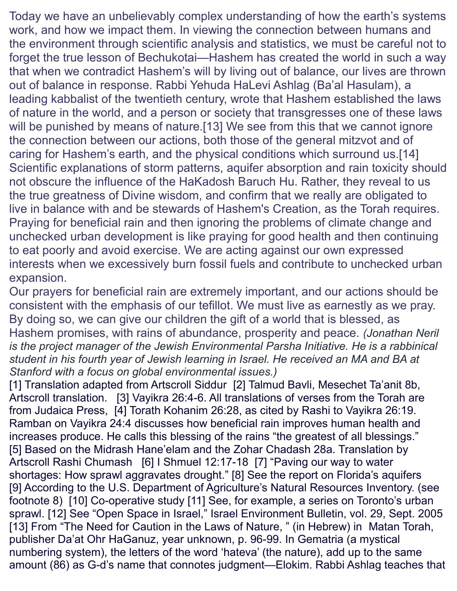Today we have an unbelievably complex understanding of how the earth's systems work, and how we impact them. In viewing the connection between humans and the environment through scientific analysis and statistics, we must be careful not to forget the true lesson of Bechukotai—Hashem has created the world in such a way that when we contradict Hashem's will by living out of balance, our lives are thrown out of balance in response. Rabbi Yehuda HaLevi Ashlag (Ba'al Hasulam), a leading kabbalist of the twentieth century, wrote that Hashem established the laws of nature in the world, and a person or society that transgresses one of these laws will be punished by means of nature.[13] We see from this that we cannot ignore the connection between our actions, both those of the general mitzvot and of caring for Hashem's earth, and the physical conditions which surround us.[14] Scientific explanations of storm patterns, aquifer absorption and rain toxicity should not obscure the influence of the HaKadosh Baruch Hu. Rather, they reveal to us the true greatness of Divine wisdom, and confirm that we really are obligated to live in balance with and be stewards of Hashem's Creation, as the Torah requires. Praying for beneficial rain and then ignoring the problems of climate change and unchecked urban development is like praying for good health and then continuing to eat poorly and avoid exercise. We are acting against our own expressed interests when we excessively burn fossil fuels and contribute to unchecked urban expansion.

Our prayers for beneficial rain are extremely important, and our actions should be consistent with the emphasis of our tefillot. We must live as earnestly as we pray. By doing so, we can give our children the gift of a world that is blessed, as Hashem promises, with rains of abundance, prosperity and peace. *(Jonathan Neril is the project manager of the Jewish Environmental Parsha Initiative. He is a rabbinical student in his fourth year of Jewish learning in Israel. He received an MA and BA at Stanford with a focus on global environmental issues.)*

[1] Translation adapted from Artscroll Siddur [2] Talmud Bavli, Mesechet Ta'anit 8b, Artscroll translation. [3] Vayikra 26:4-6. All translations of verses from the Torah are from Judaica Press, [4] Torath Kohanim 26:28, as cited by Rashi to Vayikra 26:19. Ramban on Vayikra 24:4 discusses how beneficial rain improves human health and increases produce. He calls this blessing of the rains "the greatest of all blessings." [5] Based on the Midrash Hane'elam and the Zohar Chadash 28a. Translation by Artscroll Rashi Chumash [6] I Shmuel 12:17-18 [7] "Paving our way to water shortages: How sprawl aggravates drought." [8] See the report on Florida's aquifers [9] According to the U.S. Department of Agriculture's Natural Resources Inventory. (see footnote 8) [10] Co-operative study [11] See, for example, a series on Toronto's urban sprawl. [12] See "Open Space in Israel," Israel Environment Bulletin, vol. 29, Sept. 2005 [13] From "The Need for Caution in the Laws of Nature, " (in Hebrew) in Matan Torah, publisher Da'at Ohr HaGanuz, year unknown, p. 96-99. In Gematria (a mystical numbering system), the letters of the word 'hateva' (the nature), add up to the same amount (86) as G-d's name that connotes judgment—Elokim. Rabbi Ashlag teaches that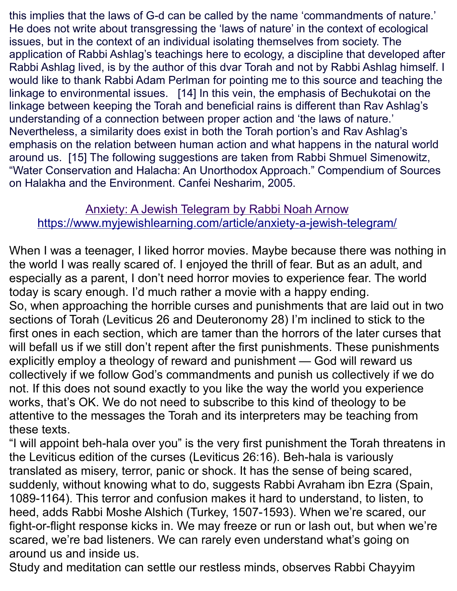this implies that the laws of G-d can be called by the name 'commandments of nature.' He does not write about transgressing the 'laws of nature' in the context of ecological issues, but in the context of an individual isolating themselves from society. The application of Rabbi Ashlag's teachings here to ecology, a discipline that developed after Rabbi Ashlag lived, is by the author of this dvar Torah and not by Rabbi Ashlag himself. I would like to thank Rabbi Adam Perlman for pointing me to this source and teaching the linkage to environmental issues. [14] In this vein, the emphasis of Bechukotai on the linkage between keeping the Torah and beneficial rains is different than Rav Ashlag's understanding of a connection between proper action and 'the laws of nature.' Nevertheless, a similarity does exist in both the Torah portion's and Rav Ashlag's emphasis on the relation between human action and what happens in the natural world around us. [15] The following suggestions are taken from Rabbi Shmuel Simenowitz, "Water Conservation and Halacha: An Unorthodox Approach." Compendium of Sources on Halakha and the Environment. Canfei Nesharim, 2005.

## Anxiety: A Jewish Telegram by Rabbi Noah Arnow <https://www.myjewishlearning.com/article/anxiety-a-jewish-telegram/>

When I was a teenager, I liked horror movies. Maybe because there was nothing in the world I was really scared of. I enjoyed the thrill of fear. But as an adult, and especially as a parent, I don't need horror movies to experience fear. The world today is scary enough. I'd much rather a movie with a happy ending. So, when approaching the horrible curses and punishments that are laid out in two sections of Torah (Leviticus 26 and Deuteronomy 28) I'm inclined to stick to the first ones in each section, which are tamer than the horrors of the later curses that will befall us if we still don't repent after the first punishments. These punishments explicitly employ a theology of reward and punishment — God will reward us collectively if we follow God's commandments and punish us collectively if we do not. If this does not sound exactly to you like the way the world you experience works, that's OK. We do not need to subscribe to this kind of theology to be attentive to the messages the Torah and its interpreters may be teaching from these texts.

"I will appoint beh-hala over you" is the very first punishment the Torah threatens in the Leviticus edition of the curses (Leviticus 26:16). Beh-hala is variously translated as misery, terror, panic or shock. It has the sense of being scared, suddenly, without knowing what to do, suggests Rabbi Avraham ibn Ezra (Spain, 1089-1164). This terror and confusion makes it hard to understand, to listen, to heed, adds Rabbi Moshe Alshich (Turkey, 1507-1593). When we're scared, our fight-or-flight response kicks in. We may freeze or run or lash out, but when we're scared, we're bad listeners. We can rarely even understand what's going on around us and inside us.

Study and meditation can settle our restless minds, observes Rabbi Chayyim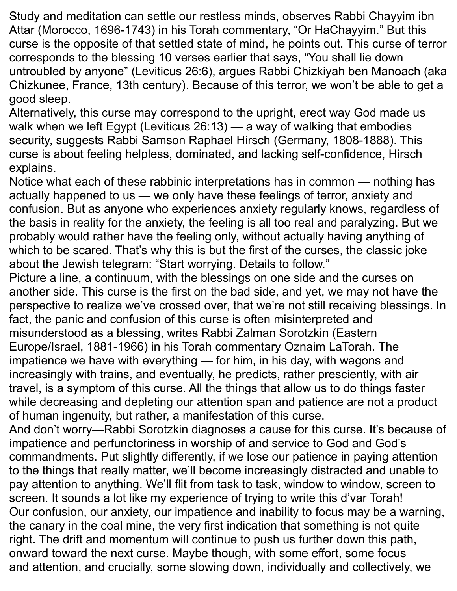Study and meditation can settle our restless minds, observes Rabbi Chayyim ibn Attar (Morocco, 1696-1743) in his Torah commentary, "Or HaChayyim." But this curse is the opposite of that settled state of mind, he points out. This curse of terror corresponds to the blessing 10 verses earlier that says, "You shall lie down untroubled by anyone" (Leviticus 26:6), argues Rabbi Chizkiyah ben Manoach (aka Chizkunee, France, 13th century). Because of this terror, we won't be able to get a good sleep.

Alternatively, this curse may correspond to the upright, erect way God made us walk when we left Egypt (Leviticus 26:13) — a way of walking that embodies security, suggests Rabbi Samson Raphael Hirsch (Germany, 1808-1888). This curse is about feeling helpless, dominated, and lacking self-confidence, Hirsch explains.

Notice what each of these rabbinic interpretations has in common — nothing has actually happened to us — we only have these feelings of terror, anxiety and confusion. But as anyone who experiences anxiety regularly knows, regardless of the basis in reality for the anxiety, the feeling is all too real and paralyzing. But we probably would rather have the feeling only, without actually having anything of which to be scared. That's why this is but the first of the curses, the classic joke about the Jewish telegram: "Start worrying. Details to follow."

Picture a line, a continuum, with the blessings on one side and the curses on another side. This curse is the first on the bad side, and yet, we may not have the perspective to realize we've crossed over, that we're not still receiving blessings. In fact, the panic and confusion of this curse is often misinterpreted and misunderstood as a blessing, writes Rabbi Zalman Sorotzkin (Eastern Europe/Israel, 1881-1966) in his Torah commentary Oznaim LaTorah. The impatience we have with everything — for him, in his day, with wagons and increasingly with trains, and eventually, he predicts, rather presciently, with air travel, is a symptom of this curse. All the things that allow us to do things faster while decreasing and depleting our attention span and patience are not a product of human ingenuity, but rather, a manifestation of this curse.

And don't worry—Rabbi Sorotzkin diagnoses a cause for this curse. It's because of impatience and perfunctoriness in worship of and service to God and God's commandments. Put slightly differently, if we lose our patience in paying attention to the things that really matter, we'll become increasingly distracted and unable to pay attention to anything. We'll flit from task to task, window to window, screen to screen. It sounds a lot like my experience of trying to write this d'var Torah! Our confusion, our anxiety, our impatience and inability to focus may be a warning, the canary in the coal mine, the very first indication that something is not quite right. The drift and momentum will continue to push us further down this path, onward toward the next curse. Maybe though, with some effort, some focus and attention, and crucially, some slowing down, individually and collectively, we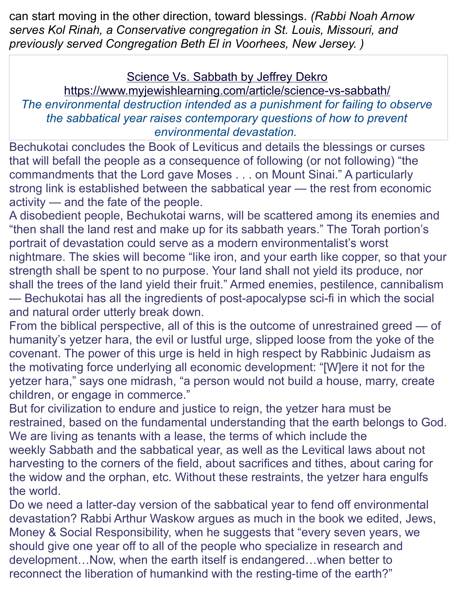can start moving in the other direction, toward blessings. *(Rabbi Noah Arnow serves Kol Rinah, a Conservative congregation in St. Louis, Missouri, and previously served Congregation Beth El in Voorhees, New Jersey. )*

# Science Vs. Sabbath by Jeffrey Dekro

<https://www.myjewishlearning.com/article/science-vs-sabbath/> *The environmental destruction intended as a punishment for failing to observe the sabbatical year raises contemporary questions of how to prevent environmental devastation.*

Bechukotai concludes the Book of Leviticus and details the blessings or curses that will befall the people as a consequence of following (or not following) "the commandments that the Lord gave Moses . . . on Mount Sinai." A particularly strong link is established between the sabbatical year — the rest from economic activity — and the fate of the people.

A disobedient people, Bechukotai warns, will be scattered among its enemies and "then shall the land rest and make up for its sabbath years." The Torah portion's portrait of devastation could serve as a modern environmentalist's worst nightmare. The skies will become "like iron, and your earth like copper, so that your strength shall be spent to no purpose. Your land shall not yield its produce, nor shall the trees of the land yield their fruit." Armed enemies, pestilence, cannibalism — Bechukotai has all the ingredients of post-apocalypse sci-fi in which the social and natural order utterly break down.

From the biblical perspective, all of this is the outcome of unrestrained greed — of humanity's yetzer hara, the evil or lustful urge, slipped loose from the yoke of the covenant. The power of this urge is held in high respect by Rabbinic Judaism as the motivating force underlying all economic development: "[W]ere it not for the yetzer hara," says one midrash, "a person would not build a house, marry, create children, or engage in commerce."

But for civilization to endure and justice to reign, the yetzer hara must be restrained, based on the fundamental understanding that the earth belongs to God. We are living as tenants with a lease, the terms of which include the weekly Sabbath and the sabbatical year, as well as the Levitical laws about not harvesting to the corners of the field, about sacrifices and tithes, about caring for the widow and the orphan, etc. Without these restraints, the yetzer hara engulfs the world.

Do we need a latter-day version of the sabbatical year to fend off environmental devastation? Rabbi Arthur Waskow argues as much in the book we edited, Jews, Money & Social Responsibility, when he suggests that "every seven years, we should give one year off to all of the people who specialize in research and development…Now, when the earth itself is endangered…when better to reconnect the liberation of humankind with the resting-time of the earth?"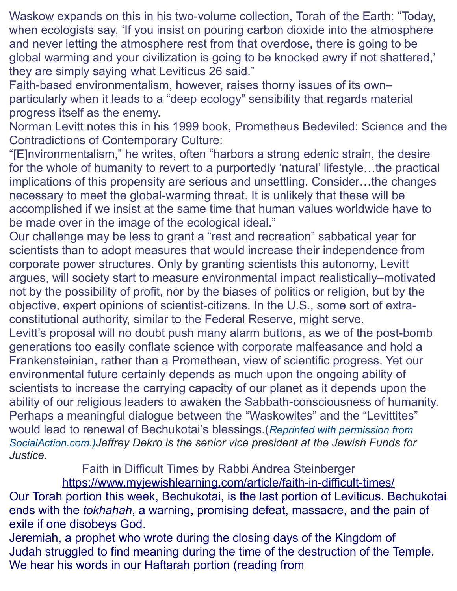Waskow expands on this in his two-volume collection, Torah of the Earth: "Today, when ecologists say, 'If you insist on pouring carbon dioxide into the atmosphere and never letting the atmosphere rest from that overdose, there is going to be global warming and your civilization is going to be knocked awry if not shattered,' they are simply saying what Leviticus 26 said."

Faith-based environmentalism, however, raises thorny issues of its own– particularly when it leads to a "deep ecology" sensibility that regards material progress itself as the enemy.

Norman Levitt notes this in his 1999 book, Prometheus Bedeviled: Science and the Contradictions of Contemporary Culture:

"[E]nvironmentalism," he writes, often "harbors a strong edenic strain, the desire for the whole of humanity to revert to a purportedly 'natural' lifestyle…the practical implications of this propensity are serious and unsettling. Consider…the changes necessary to meet the global-warming threat. It is unlikely that these will be accomplished if we insist at the same time that human values worldwide have to be made over in the image of the ecological ideal."

Our challenge may be less to grant a "rest and recreation" sabbatical year for scientists than to adopt measures that would increase their independence from corporate power structures. Only by granting scientists this autonomy, Levitt argues, will society start to measure environmental impact realistically–motivated not by the possibility of profit, nor by the biases of politics or religion, but by the objective, expert opinions of scientist-citizens. In the U.S., some sort of extraconstitutional authority, similar to the Federal Reserve, might serve.

Levitt's proposal will no doubt push many alarm buttons, as we of the post-bomb generations too easily conflate science with corporate malfeasance and hold a Frankensteinian, rather than a Promethean, view of scientific progress. Yet our environmental future certainly depends as much upon the ongoing ability of scientists to increase the carrying capacity of our planet as it depends upon the ability of our religious leaders to awaken the Sabbath-consciousness of humanity. Perhaps a meaningful dialogue between the "Waskowites" and the "Levittites" would lead to renewal of Bechukotai's blessings.(*Reprinted with permission from SocialAction.com.)Jeffrey Dekro is the senior vice president at the Jewish Funds for Justice.*

Faith in Difficult Times by Rabbi Andrea Steinberger

<https://www.myjewishlearning.com/article/faith-in-difficult-times/>

Our Torah portion this week, Bechukotai, is the last portion of Leviticus. Bechukotai ends with the *tokhahah*, a warning, promising defeat, massacre, and the pain of exile if one disobeys God.

Jeremiah, a prophet who wrote during the closing days of the Kingdom of Judah struggled to find meaning during the time of the destruction of the Temple. We hear his words in our Haftarah portion (reading from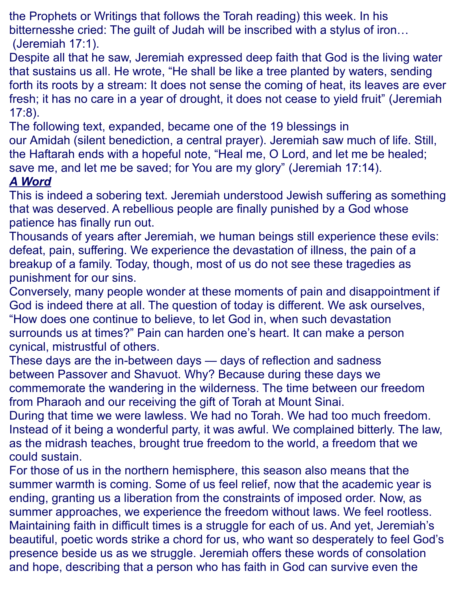the Prophets or Writings that follows the Torah reading) this week. In his bitternesshe cried: The guilt of Judah will be inscribed with a stylus of iron… (Jeremiah 17:1).

Despite all that he saw, Jeremiah expressed deep faith that God is the living water that sustains us all. He wrote, "He shall be like a tree planted by waters, sending forth its roots by a stream: It does not sense the coming of heat, its leaves are ever fresh; it has no care in a year of drought, it does not cease to yield fruit" (Jeremiah 17:8).

The following text, expanded, became one of the 19 blessings in our Amidah (silent benediction, a central prayer). Jeremiah saw much of life. Still, the Haftarah ends with a hopeful note, "Heal me, O Lord, and let me be healed; save me, and let me be saved; for You are my glory" (Jeremiah 17:14).

# *A Word*

This is indeed a sobering text. Jeremiah understood Jewish suffering as something that was deserved. A rebellious people are finally punished by a God whose patience has finally run out.

Thousands of years after Jeremiah, we human beings still experience these evils: defeat, pain, suffering. We experience the devastation of illness, the pain of a breakup of a family. Today, though, most of us do not see these tragedies as punishment for our sins.

Conversely, many people wonder at these moments of pain and disappointment if God is indeed there at all. The question of today is different. We ask ourselves, "How does one continue to believe, to let God in, when such devastation surrounds us at times?" Pain can harden one's heart. It can make a person cynical, mistrustful of others.

These days are the in-between days — days of reflection and sadness between Passover and Shavuot. Why? Because during these days we commemorate the wandering in the wilderness. The time between our freedom from Pharaoh and our receiving the gift of Torah at Mount Sinai.

During that time we were lawless. We had no Torah. We had too much freedom. Instead of it being a wonderful party, it was awful. We complained bitterly. The law, as the midrash teaches, brought true freedom to the world, a freedom that we could sustain.

For those of us in the northern hemisphere, this season also means that the summer warmth is coming. Some of us feel relief, now that the academic year is ending, granting us a liberation from the constraints of imposed order. Now, as summer approaches, we experience the freedom without laws. We feel rootless. Maintaining faith in difficult times is a struggle for each of us. And yet, Jeremiah's beautiful, poetic words strike a chord for us, who want so desperately to feel God's presence beside us as we struggle. Jeremiah offers these words of consolation and hope, describing that a person who has faith in God can survive even the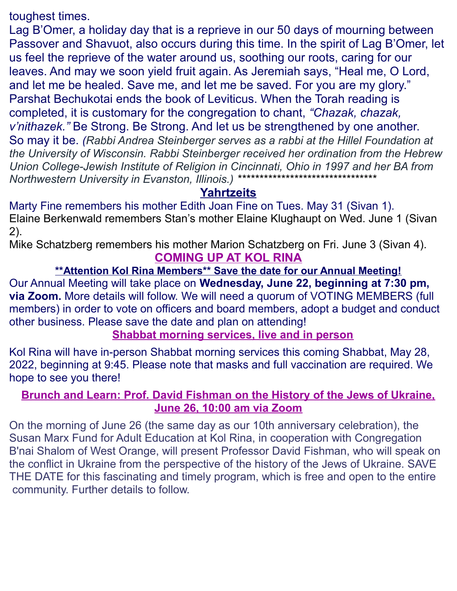#### toughest times.

Lag B'Omer, a holiday day that is a reprieve in our 50 days of mourning between Passover and Shavuot, also occurs during this time. In the spirit of Lag B'Omer, let us feel the reprieve of the water around us, soothing our roots, caring for our leaves. And may we soon yield fruit again. As Jeremiah says, "Heal me, O Lord, and let me be healed. Save me, and let me be saved. For you are my glory." Parshat Bechukotai ends the book of Leviticus. When the Torah reading is completed, it is customary for the congregation to chant, *"Chazak, chazak, v'nithazek."* Be Strong. Be Strong. And let us be strengthened by one another. So may it be. *(Rabbi Andrea Steinberger serves as a rabbi at the Hillel Foundation at the University of Wisconsin. Rabbi Steinberger received her ordination from the Hebrew Union College-Jewish Institute of Religion in Cincinnati, Ohio in 1997 and her BA from Northwestern University in Evanston, Illinois.) \*\*\*\*\*\*\*\*\*\*\*\*\*\*\*\*\*\*\*\*\*\*\*\*\*\*\*\*\*\*\*\**

## **Yahrtzeits**

Marty Fine remembers his mother Edith Joan Fine on Tues. May 31 (Sivan 1). Elaine Berkenwald remembers Stan's mother Elaine Klughaupt on Wed. June 1 (Sivan 2).

Mike Schatzberg remembers his mother Marion Schatzberg on Fri. June 3 (Sivan 4). **COMING UP AT KOL RINA**

### **\*\*Attention Kol Rina Members\*\* Save the date for our Annual Meeting!**

Our Annual Meeting will take place on **Wednesday, June 22, beginning at 7:30 pm, via Zoom.** More details will follow. We will need a quorum of VOTING MEMBERS (full members) in order to vote on officers and board members, adopt a budget and conduct other business. Please save the date and plan on attending!

### **Shabbat morning services, live and in person**

Kol Rina will have in-person Shabbat morning services this coming Shabbat, May 28, 2022, beginning at 9:45. Please note that masks and full vaccination are required. We hope to see you there!

#### **Brunch and Learn: Prof. David Fishman on the History of the Jews of Ukraine, June 26, 10:00 am via Zoom**

On the morning of June 26 (the same day as our 10th anniversary celebration), the Susan Marx Fund for Adult Education at Kol Rina, in cooperation with Congregation B'nai Shalom of West Orange, will present Professor David Fishman, who will speak on the conflict in Ukraine from the perspective of the history of the Jews of Ukraine. SAVE THE DATE for this fascinating and timely program, which is free and open to the entire community. Further details to follow.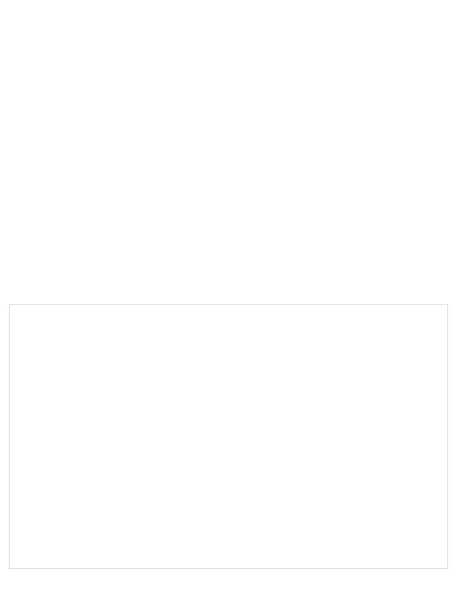